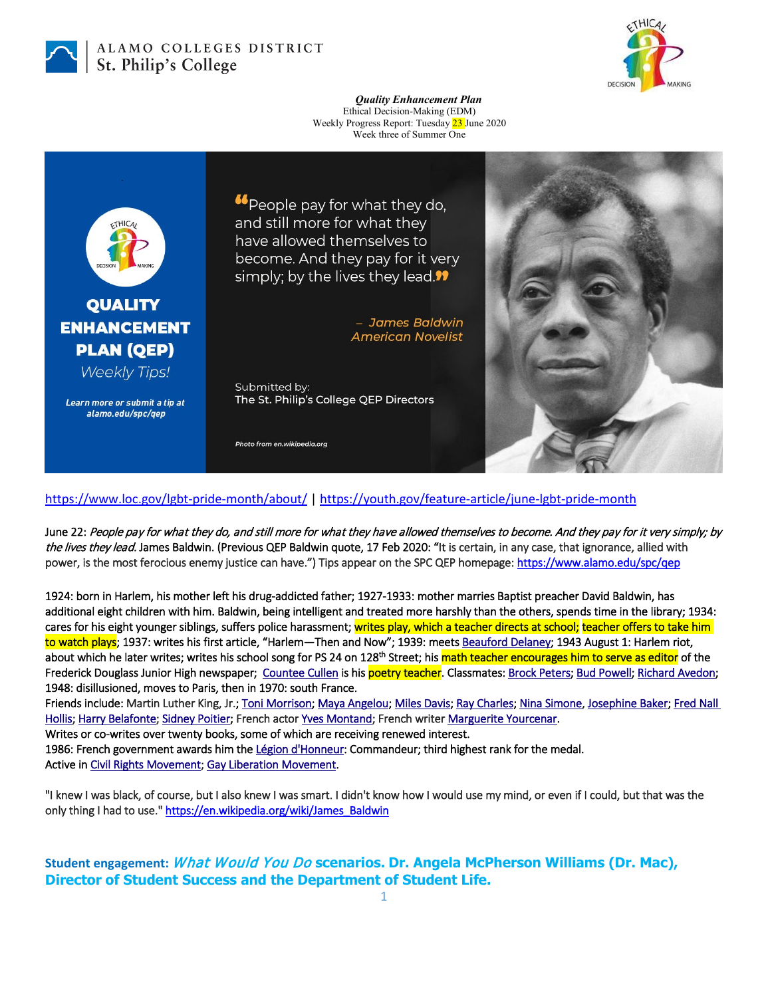

ALAMO COLLEGES DISTRICT St. Philip's College



*Quality Enhancement Plan* Ethical Decision-Making (EDM) Weekly Progress Report: Tuesday 23 June 2020 Week three of Summer One



## <https://www.loc.gov/lgbt-pride-month/about/> |<https://youth.gov/feature-article/june-lgbt-pride-month>

June 22: People pay for what they do, and still more for what they have allowed themselves to become. And they pay for it very simply; by the lives they lead. James Baldwin. (Previous QEP Baldwin quote, 17 Feb 2020: "It is certain, in any case, that ignorance, allied with power, is the most ferocious enemy justice can have.") Tips appear on the SPC QEP homepage:<https://www.alamo.edu/spc/qep>

1924: born in Harlem, his mother left his drug-addicted father; 1927-1933: mother marries Baptist preacher David Baldwin, has additional eight children with him. Baldwin, being intelligent and treated more harshly than the others, spends time in the library; 1934: cares for his eight younger siblings, suffers police harassment; writes play, which a teacher directs at school; teacher offers to take him to watch plays; 1937: writes his first article, "Harlem—Then and Now"; 1939: meet[s Beauford Delaney;](https://en.wikipedia.org/wiki/Beauford_Delaney) 1943 August 1: Harlem riot, about which he later writes; writes his school song for PS 24 on 128<sup>th</sup> Street; his math teacher encourages him to serve as editor of the Frederick Douglass Junior High newspaper; [Countee Cullen](https://en.wikipedia.org/wiki/Countee_Cullen) is his **poetry teacher**. Classmates: [Brock Peters;](https://en.wikipedia.org/wiki/Brock_Peters) [Bud Powell;](https://en.wikipedia.org/wiki/Bud_Powell) [Richard Avedon;](https://en.wikipedia.org/wiki/Richard_Avedon) 1948: disillusioned, moves to Paris, then in 1970: south France.

Friends include: Martin Luther King, Jr.[; Toni Morrison;](https://en.wikipedia.org/wiki/Toni_Morrison) [Maya Angelou;](https://en.wikipedia.org/wiki/Maya_Angelou) [Miles Davis;](https://en.wikipedia.org/wiki/Miles_Davis) [Ray Charles;](https://en.wikipedia.org/wiki/Ray_Charles) [Nina Simone,](https://en.wikipedia.org/wiki/Nina_Simone) [Josephine Baker;](https://en.wikipedia.org/wiki/Josephine_Baker) [Fred Nall](https://en.wikipedia.org/wiki/Fred_Nall_Hollis)  [Hollis;](https://en.wikipedia.org/wiki/Fred_Nall_Hollis) [Harry Belafonte;](https://en.wikipedia.org/wiki/Harry_Belafonte) [Sidney Poitier;](https://en.wikipedia.org/wiki/Sidney_Poitier) French acto[r Yves Montand;](https://en.wikipedia.org/wiki/Yves_Montand) French writer [Marguerite Yourcenar.](https://en.wikipedia.org/wiki/Marguerite_Yourcenar)

Writes or co-writes over twenty books, some of which are receiving renewed interest.

1986: French government awards him the [Légion d'Honneur:](https://en.wikipedia.org/wiki/Legion_of_Honour) Commandeur; third highest rank for the medal. Active in [Civil Rights Movement;](https://en.wikipedia.org/wiki/Civil_rights_movement) [Gay Liberation Movement.](https://en.wikipedia.org/wiki/Gay_liberation)

"I knew I was black, of course, but I also knew I was smart. I didn't know how I would use my mind, or even if I could, but that was the only thing I had to use.[" https://en.wikipedia.org/wiki/James\\_Baldwin](https://en.wikipedia.org/wiki/James_Baldwin) 

**Student engagement:** What Would You Do **scenarios. Dr. Angela McPherson Williams (Dr. Mac), Director of Student Success and the Department of Student Life.**